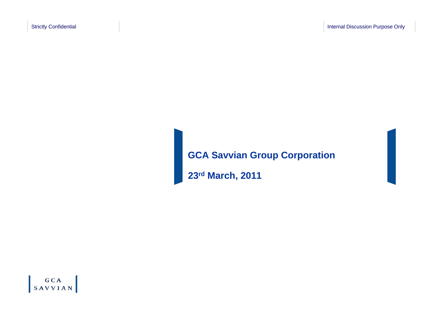# **GCA Savvian Group Corporation**

**23rd March, 2011**

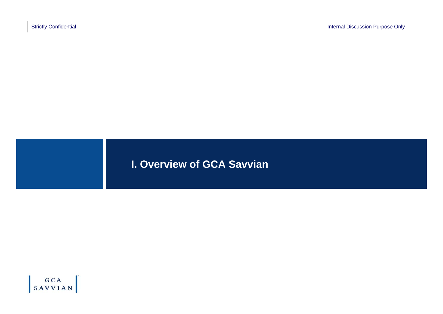**I. Overview of GCA Savvian**

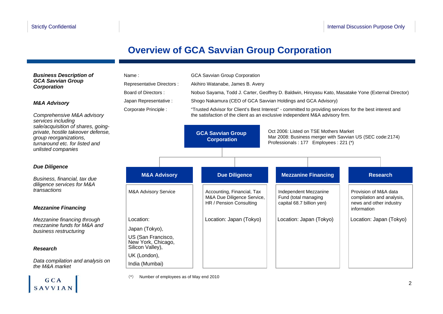$\begin{bmatrix} GCA \\ SAVVIAN \end{bmatrix}$ 

### **Overview of GCA Savvian Group Corporation**

| <b>Business Description of</b><br><b>GCA Savvian Group</b><br><b>Corporation</b><br><b>M&amp;A Advisory</b><br>Comprehensive M&A advisory<br>services including<br>sale/acquisition of shares, going- | Name:<br>Representative Directors :<br>Board of Directors:<br>Japan Representative :<br>Corporate Principle : | <b>GCA Savvian Group Corporation</b><br>Akihiro Watanabe, James B. Avery<br>Nobuo Sayama, Todd J. Carter, Geoffrey D. Baldwin, Hiroyasu Kato, Masatake Yone (External Director)<br>Shogo Nakamura (CEO of GCA Savvian Holdings and GCA Advisory)<br>"Trusted Advisor for Client's Best Interest" - committed to providing services for the best interest and<br>the satisfaction of the client as an exclusive independent M&A advisory firm. |                                                                                     |  |                                                                            |                                                                               |
|-------------------------------------------------------------------------------------------------------------------------------------------------------------------------------------------------------|---------------------------------------------------------------------------------------------------------------|-----------------------------------------------------------------------------------------------------------------------------------------------------------------------------------------------------------------------------------------------------------------------------------------------------------------------------------------------------------------------------------------------------------------------------------------------|-------------------------------------------------------------------------------------|--|----------------------------------------------------------------------------|-------------------------------------------------------------------------------|
| private, hostile takeover defense,<br>group reorganizations,<br>turnaround etc. for listed and<br>unlisted companies                                                                                  |                                                                                                               | Oct 2006: Listed on TSE Mothers Market<br><b>GCA Savvian Group</b><br>Mar 2008: Business merger with Savvian US (SEC code:2174)<br><b>Corporation</b><br>Professionals: 177 Employees: 221 (*)                                                                                                                                                                                                                                                |                                                                                     |  |                                                                            |                                                                               |
| <b>Due Diligence</b>                                                                                                                                                                                  |                                                                                                               |                                                                                                                                                                                                                                                                                                                                                                                                                                               |                                                                                     |  |                                                                            |                                                                               |
| Business, financial, tax due<br>diligence services for M&A                                                                                                                                            | <b>M&amp;A Advisory</b>                                                                                       |                                                                                                                                                                                                                                                                                                                                                                                                                                               | <b>Due Diligence</b>                                                                |  | <b>Mezzanine Financing</b>                                                 | <b>Research</b>                                                               |
| transactions                                                                                                                                                                                          | <b>M&amp;A Advisory Service</b>                                                                               |                                                                                                                                                                                                                                                                                                                                                                                                                                               | Accounting, Financial, Tax<br>M&A Due Diligence Service,<br>HR / Pension Consulting |  | Independent Mezzanine<br>Fund (total managing<br>capital 68.7 billion yen) | Provision of M&A data<br>compilation and analysis,<br>news and other industry |
| <b>Mezzanine Financing</b>                                                                                                                                                                            |                                                                                                               |                                                                                                                                                                                                                                                                                                                                                                                                                                               |                                                                                     |  |                                                                            | information                                                                   |
| Mezzanine financing through                                                                                                                                                                           | Location:                                                                                                     |                                                                                                                                                                                                                                                                                                                                                                                                                                               | Location: Japan (Tokyo)                                                             |  | Location: Japan (Tokyo)                                                    | Location: Japan (Tokyo)                                                       |
| mezzanine funds for M&A and<br>business restructuring                                                                                                                                                 | Japan (Tokyo),                                                                                                |                                                                                                                                                                                                                                                                                                                                                                                                                                               |                                                                                     |  |                                                                            |                                                                               |
| <b>Research</b>                                                                                                                                                                                       | US (San Francisco,<br>New York, Chicago,<br>Silicon Valley),                                                  |                                                                                                                                                                                                                                                                                                                                                                                                                                               |                                                                                     |  |                                                                            |                                                                               |
| Data compilation and analysis on<br>the M&A market                                                                                                                                                    | UK (London),<br>India (Mumbai)                                                                                |                                                                                                                                                                                                                                                                                                                                                                                                                                               |                                                                                     |  |                                                                            |                                                                               |

(\*) Number of employees as of May end 2010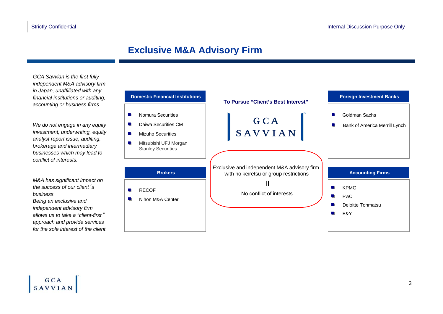### **Exclusive M&A Advisory Firm**

*GCA Savvian is the first fully independent M&A advisory firm in Japan, unaffiliated with any financial institutions or auditing, accounting or business firms.* 

*We do not engage in any equity investment, underwriting, equity analyst report issue, auditing, brokerage and intermediary businesses which may lead to conflict of interests.*

*M&A has significant impact on the success of our client*'*s business.*

*Being an exclusive and independent advisory firm allows us to take a "client-first*" *approach and provide services for the sole interest of the client.*

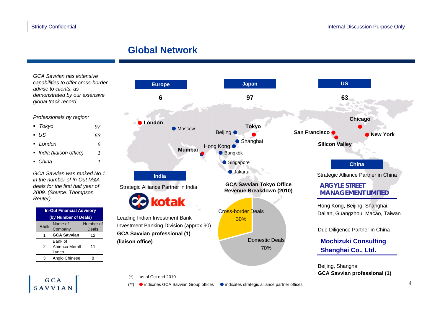### **Global Network**

*GCA Savvian has extensive capabilities to offer cross-border advise to clients, as demonstrated by our extensive global track record.* 

#### *Professionals by region:*

| $\blacksquare$ Tokyo     |    |
|--------------------------|----|
| ■ US                     | 63 |
| $\blacksquare$ London    | 6  |
| • India (liaison office) |    |
| $\blacksquare$ China     |    |

*GCA Savvian was ranked No.1 in the number of In-Out M&A deals for the first half year of 2009. (Source: Thompson Reuter)*

| <b>In-Out Financial Advisory</b> |                      |           |  |  |  |  |
|----------------------------------|----------------------|-----------|--|--|--|--|
|                                  | (by Number of Deals) |           |  |  |  |  |
| Rank                             | Name of              | Number of |  |  |  |  |
|                                  | Company              | Deals     |  |  |  |  |
| 1                                | <b>GCA Savvian</b>   | 12        |  |  |  |  |
|                                  | Bank of              |           |  |  |  |  |
| 2                                | America Merrill      | 11        |  |  |  |  |
|                                  | Lynch                |           |  |  |  |  |
| з                                | Anglo Chinese        | я         |  |  |  |  |

 $GCA$ **SAVVIAN** 



#### (\*) as of Oct end 2010

● indicates GCA Savvian Group offices ● indicates strategic alliance partner offices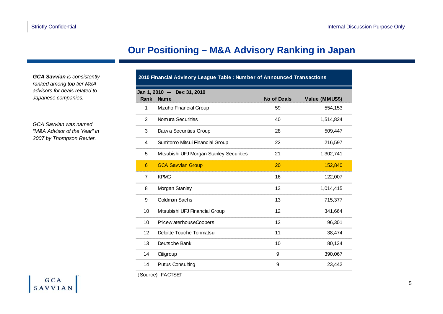### **Our Positioning – M&A Advisory Ranking in Japan**

*GCA Savvian is consistently ranked among top tier M&A advisors for deals related to Japanese companies.*

*GCA Savvian was named "M&A Advisor of the Year" in 2007 by Thompson Reuter.*

| 2010 Financial Advisory League Table : Number of Announced Transactions |                                                                            |    |           |  |  |  |  |  |  |
|-------------------------------------------------------------------------|----------------------------------------------------------------------------|----|-----------|--|--|--|--|--|--|
| Rank                                                                    | Jan 1, 2010 - Dec 31, 2010<br><b>Name</b><br>No of Deals<br>Value (MMUS\$) |    |           |  |  |  |  |  |  |
| 1                                                                       | Mizuho Financial Group                                                     | 59 | 554,153   |  |  |  |  |  |  |
| $\overline{2}$                                                          | Nomura Securities                                                          | 40 | 1,514,824 |  |  |  |  |  |  |
| 3                                                                       | Daiw a Securities Group                                                    | 28 | 509,447   |  |  |  |  |  |  |
| 4                                                                       | Sumitomo Mitsui Financial Group                                            | 22 | 216,597   |  |  |  |  |  |  |
| 5                                                                       | Mitsubishi UFJ Morgan Stanley Securities                                   | 21 | 1,302,741 |  |  |  |  |  |  |
| 6                                                                       | <b>GCA Savvian Group</b>                                                   | 20 | 152,840   |  |  |  |  |  |  |
| $\overline{7}$                                                          | <b>KPMG</b>                                                                | 16 | 122,007   |  |  |  |  |  |  |
| 8                                                                       | Morgan Stanley                                                             | 13 | 1,014,415 |  |  |  |  |  |  |
| 9                                                                       | <b>Goldman Sachs</b>                                                       | 13 | 715,377   |  |  |  |  |  |  |
| 10                                                                      | Mitsubishi UFJ Financial Group                                             | 12 | 341,664   |  |  |  |  |  |  |
| 10                                                                      | Pricew aterhouseCoopers                                                    | 12 | 96,301    |  |  |  |  |  |  |
| 12                                                                      | Deloitte Touche Tohmatsu                                                   | 11 | 38,474    |  |  |  |  |  |  |
| 13                                                                      | Deutsche Bank                                                              | 10 | 80,134    |  |  |  |  |  |  |
| 14                                                                      | Citigroup                                                                  | 9  | 390,067   |  |  |  |  |  |  |
| 14                                                                      | <b>Plutus Consulting</b>                                                   | 9  | 23,442    |  |  |  |  |  |  |
|                                                                         |                                                                            |    |           |  |  |  |  |  |  |

(Source) FACTSET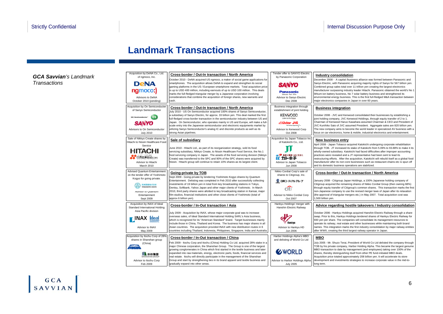### **Landmark Transactions**

*GCA Savvian's Landmark Transactions*

| Acquisition by DeNA Co., Ltd.<br>of ngmoco, Inc.                                                                                                                                                    | Cross-border / Out-In transaction / North America                                                                                                                                                                                                                                                                                                                                                                                                                                                                                                                                                                | Tender offer to SANYO Electric<br>by Panasonic Corporation                                                                                                    | Industry consolidation                                                                                                                                                                                                                                                                                                                                                                                                                                                                                                                                                                                              |
|-----------------------------------------------------------------------------------------------------------------------------------------------------------------------------------------------------|------------------------------------------------------------------------------------------------------------------------------------------------------------------------------------------------------------------------------------------------------------------------------------------------------------------------------------------------------------------------------------------------------------------------------------------------------------------------------------------------------------------------------------------------------------------------------------------------------------------|---------------------------------------------------------------------------------------------------------------------------------------------------------------|---------------------------------------------------------------------------------------------------------------------------------------------------------------------------------------------------------------------------------------------------------------------------------------------------------------------------------------------------------------------------------------------------------------------------------------------------------------------------------------------------------------------------------------------------------------------------------------------------------------------|
| <b>DeNA</b><br>ngmoco:)<br>Advisors to DeNA<br>October 2010 (pending)                                                                                                                               | October 2010 - DeNA acquired US ngmoco, a maker of social game applications for<br>smartphones. The acquisition allows DeNA to expand and strengthen its social<br>gaming platforms in the US / European smartphone markets. Total acquisition price<br>is up to USD 400 million, including earnouts of up to USD 100 million. This deals<br>marks the full-fledged triangular merger by a Japanese corporation involving<br>considerations that combine the acquisition of foreign shares, new warrants and<br>cash.                                                                                            | SANYO<br><b>Panasonic</b><br>deas for life<br>Advisor to Sanyo Electric<br>Dec 2008                                                                           | December 2008 - A capital /business alliance was formed between Panasonic and<br>Sanyo Electric, with Panasonic acquiring majority rights of Sanyo for 567 billion yen.<br>Combined group sales total over 11 trillion yen creating the largest electronics<br>manufacturer surpassing industry leader Hitachi. Panasonic obtained the world's No 1<br>lithium-ion battery business, No 7 solar battery business and strengthened its<br>environmental energy business. This is the first full-fledged M&A transaction between<br>major electronics companies in Japan in over 60 years.                            |
| Acquisition by On Semiconducter<br>of Sanyo Semiconductor<br>ON Semiconductor <sup>*</sup> UK<br><b>SANYO</b><br>Advisors to On Semiconductor<br><b>July 2010</b>                                   | Cross-border / Out-In transaction / North America<br>July 2010 - US On Semiconductor acquired 100% shares of Sanyo Semiconductor.<br>a subsidiary of Sanyo Electric, for approx. 33 billion yen. This deal marked the first<br>full-fledged cross-border transaction in the semiconductor industry between US and<br>Japan. On Semiconductor, who operates mainly in US and Europe, will make a full-<br>scale entry into the Japanese semiconductor and electronic equipments market by<br>utilizing Sanyo Semiconductor's analog IC and discrete products as well as its<br>strong Asian pipelines.            | Business integration through<br>establishment of joint holding<br><b>KENWOOD</b><br>Listen to the Future<br>Nictor JVC<br>Advisor to Kenwood Corp<br>Oct 2008 | <b>Business integration</b><br>October 2008 - JVC and Kenwood consolidated their businesses by establishing a<br>joint holding company, JVC Kenwood Holdings, through equity transfer of 2 to 1.<br>Chairman of Kenwood Haruo Kawahara assumed Chairman & CEO and President of<br>JVC Kunihiko Sato of JVC assumed President. Aggregate sales are 820 billion yen.<br>The new company aims to become the world leader in specialized AV business with a<br>focus on car electronics, home & mobile, industrial electronics and entertainment.                                                                       |
| Sale of Nikkyo Create shares by<br>Hitachi to Nissin Healthcare Food<br>Service<br>HITACHI<br><b>TH清选亲食品</b><br>Advisor to Hitachi<br>March 2010                                                    | Sale of subsidiary<br>June 2010 - Hitachi Ltd., as part of its reorganization strategy, sold its food<br>servicing subsidiary, Nikkyo Create, to Nissin Healthcare Food Service, the No.1<br>food servicing company in Japan. The assets of the food servicing division (Nikkyo<br>Create) was transferred to the SPC and 90% of the SPC shares were acquired by<br>Nissin. Hitachi group will continue to retain 10% shares as its largest client.                                                                                                                                                              | Acquisition by Japan Tobacco Inc<br>of Katokichi Co., Ltd.<br>●● ##と解食へのこだわり<br>Advisor to Japan Tobacco<br>Jun 2008                                          | New business entry<br>April 2008 - Japan Tobacco acquired Katokichi undergoing corporate rehabilitation<br>through TOB. JT increased its stake of Katokichi from 5.09% to 93.88% to make it its<br>wholly-owned subsidiary. Katokichi had faced difficulties after improper accounting<br>practices were revealed and a JT representative had been sent to lead its<br>restructuring efforts. After the acquisition, Katokichi will rebuild itself as a global food<br>manufacturer after its non-core businesses such as restaurant chains etc is spun off<br>and its domestic business operations are stabilized. |
| <b>Advised Quantum Entertainment</b><br>on the tender offer of Yoshimoto<br>Kogyo for going private.<br>古本国黑株式会社<br>售<br><b>TOSHIMOTO KOGYO</b><br>Advisor to Quantum<br>Entertainment<br>Sept 2009 | Going-private by TOB<br>Sept 2009 - Going-private by tendering Yoshimoto Kogyo shares by Quantum<br>Entertainment. Delisting was completed in Feb 2010 after successfully collecting<br>investments of 19 billion yen in total from key broadcasting stations in Tokyo,<br>Dentsu, Softbank, Yahoo Japan and other major clients of Yoshimoto. In March<br>2010, third party shares were allotted to key broadcasting station in Kansai, major<br>film studios, financial institutions and other close clients of Yoshimoto (total of<br>approx 6 billion yen).                                                  | Nikko Cordial Corp's sale of<br>shares to Citigroup, Inc.<br>◎ 日興コーディアルグループ<br>$\widehat{\text{cft}}$<br>Advisor to Nikko Cordial Corp<br>Oct 2007            | Cross-border / Out-In transaction / North America<br>January 2008 - Citigroup Japan Holdings, a 100% Japanese holding company of<br>Citigroup acquired the remaining shares of Nikko Cordial Group (then owning 68%)<br>through equity transfer of Citigroup's common shares. This transaction marks the first<br>non-Japanese company to use the revised merger laws of Japan after its relaxation<br>(the approval of triangular mergers etc.) in May 2007. Total acquisition cost was<br>1,500 billion yen.                                                                                                      |
| Acquisition by INAX of Ideal<br>Standard International Holding<br>Asia Pacific division<br><b>FINAX</b> deal<br>Advisor to INAX<br>May 2009                                                         | Cross-border / In-Out transaction / Asia<br>July 2009 - Acquisition by INAX, whose major corporate goal was to increase<br>overseas sales, of Ideal Standard International Holding SARL's Asia business,<br>which is recognized for its "American Standard" brand. Target businesses mainly<br>include those in China, Thailand and Korea. The business has major shares in all<br>Asian countries. The acquisition provided INAX with new distribution routes in 6<br>countries including Thailand, Indonesia, Philippines, Singapore, India and Australia.                                                     | Hankyu Holdings' merger with<br>Hanshin Electric Railway<br><b>Hankvu</b><br>Advisor to Hankyu HD<br>Jun 2006                                                 | Advice regarding hostile takeovers / Industry consolidation<br>October 2006 - Hankyu Holdings acquired Hanshin Electric Railway through a share<br>swap. Prior to this, Hankyu Holdings tendered shares of Hankyu Electric Railway for<br>930 yen per share. The companies will consolidate its management resources to<br>operate its railway, real estate and other businesses while maintaining both brand<br>names. This integration marks the first industry consolidation by major railway entities<br>after WWII, creating the third largest railway operator in Japan.                                      |
| Acquisition by Itochu Corp of 28%<br>shares in Shanshan group<br>(China)<br><b><i><i><u>Province</u></i></i></b><br>Vasiers<br>川 杉杉集団<br>Advisor to Itochu Corp<br>Feb 2009                         | Cross-border / In-Out transaction / China<br>Feb 2009 - Itochu Corp and Itochu (China) Holding Co Ltd. acquired 28% stake in a<br>major Chinese corporation, the Shanshan Group. The Group is one of the largest<br>growing conglomerates in China which first started in the textile business and later<br>expanded into raw materials, energy, electronic parts, foods, financial services and<br>real estate. Itochu will directly participate in the management of the Shanshan<br>Group and start by strengthening ties in its brand apparel and textile business and<br>gradually expand into other areas. | Harbor Holdings Alpha's MBO<br>and delisting of World Co Ltd<br><b>EWORLD</b><br>Advisor to Harbor Holdings Alpha<br><b>July 2005</b>                         | <b>MBO</b><br>July 2005 - Mr. Shuzo Terai, President of World Co Ltd delisted the company through<br>TOB by his private company, Harbor Holding Alpha. This became the largest genuine<br>MBO transaction to date by management (and employees) taking over 100% of the<br>shares, thereby distinguishing itself from other PE fund-initiated MBO deals.<br>Acquisition price totaled approximately 208 billion yen. It will accelerate its store<br>development and investments strategies to increase corporate value in the mid-to-<br>long term.                                                                |

SAVVIAN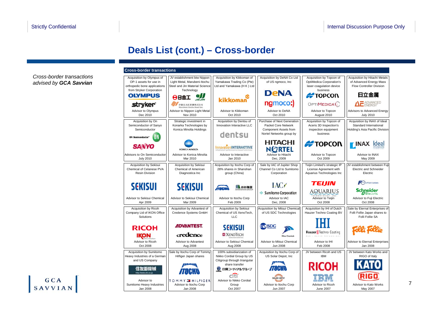### **Deals List (cont.) – Cross-border**

*Cross-border transactions advised by GCA Savvian*

|                                                                                                                 | <b>Cross-border transactions</b>                                                                            |                                                                                                         |                                                                                                         |                                                                                                     |                                                                                           |  |
|-----------------------------------------------------------------------------------------------------------------|-------------------------------------------------------------------------------------------------------------|---------------------------------------------------------------------------------------------------------|---------------------------------------------------------------------------------------------------------|-----------------------------------------------------------------------------------------------------|-------------------------------------------------------------------------------------------|--|
| Acquisition by Olympus of<br>OP-1 assets for use in<br>orthopedic bone applications<br>from Stryker Corporation | JV establishment btw Nippon<br>Light Metal, Marubeni-Itochu<br>Steel and Jin Material Science<br>Technology | Acquisition by Kikkoman of<br>Yamakawa Trading Co (Pte)<br>Ltd and Yamakawa (H K) Ltd                   | Acquisition by DeNA Co Ltd<br>of US ngmoco, Inc                                                         | Acquisition by Topcon of<br><b>OptiMedica Corporation's</b><br>laser coaqulation device<br>business | Acquisition by Hitachi Metals<br>of Advanced Energy Mass<br>Flow Controller Division      |  |
| <b>OLYMPUS</b>                                                                                                  | $\sum_{H \in JIN}$<br>日金日日                                                                                  | kikkoman                                                                                                | <b>DeNA</b>                                                                                             | <del>#</del> TOPCON                                                                                 | 日立金属                                                                                      |  |
| <b>stryker</b> *                                                                                                | 伊藤忠丸紅鉄鋼株式会社<br>Marubeni-Itocho Steel Inc.                                                                   |                                                                                                         | ngmoco:)                                                                                                | OPTIMEDICA <sup>(</sup> )                                                                           | $\Delta E$ ADVANCED                                                                       |  |
| Advisor to Olympus<br>Dec 2010                                                                                  | Advisor to Nippon Light Metal<br>Nov 2010                                                                   | Advisor to Kikkoman<br>Oct 2010                                                                         | Advisor to DeNA<br>Oct 2010                                                                             | Advisor to Topcon<br>August 2010                                                                    | Advisors to Advanced Energy<br><b>July 2010</b>                                           |  |
| Acquisition by On<br>Semiconductor of Sanvo<br>Semiconductor<br>0N<br><b>ON Semiconductor®</b>                  | Strategic investment in<br>Konarka Technologies by<br>Konica Minolta Holdings                               | Acquisition by Dentsu of<br>Innovation Interactive LLC<br>dentsu                                        | Purchase of Next Generation<br>Packet Core Network<br>Component Assets from<br>Nortel Networks group by | Acquisition by Topcon of<br>Aceris 3D Inspection's<br>inspection equipment<br>business              | Acquisition by INAX of Ideal<br>Standard International<br>Holding's Asia Pacific Division |  |
| <b>SANYO</b>                                                                                                    | KONICA MINOLTA                                                                                              | <b>InnovationINTERACTIVE</b>                                                                            | <b>HITACHI</b><br><b>NORTEL</b>                                                                         | <b>#TOPCON</b>                                                                                      | <b>TINAX</b><br><b>Ideal</b>                                                              |  |
| Advisors to On Semiconductor<br><b>July 2010</b>                                                                | Advisor to Konica Minolta<br>Mar 2010                                                                       | Advisor to Interactive<br>Jan 2010                                                                      | Advisor to Hitachi<br>Dec. 2009                                                                         | Advisor to Topcon<br>Oct 2009                                                                       | Advisor to INAX<br>May 2009                                                               |  |
| <b>Acquisition by Sekisui</b><br>Chemical of Celanese PVA<br><b>Resin Division</b>                              | <b>Acquisition by Sekisui</b><br>Chemical of American<br>Diagnostica Inc                                    | Acquisition by Itochu Corp of<br>28% shares in Shanshan<br>group (China)                                | Sale by IAC of Jupiter Shop<br>Channel Co Ltd to Sumitomo<br>Corporation                                | Teijin Limited's strategic IP<br>License Agreement with<br>Aquarius Technologies Inc                | JV establishment between Fuji<br><b>Electric and Schneider</b><br>Electric                |  |
| <b>SEKISUI</b><br>Advisor to Sekisui Chemical<br>Apr 2009                                                       | <b>SEKISUI</b><br>Advisor to Sekisui Chemical<br>Mar 2009                                                   | 554 おお集団<br>$H \models$<br>Advisor to Itochu Corp<br>Feb 2009                                           | $\rm{AC}$<br>Sumitomo Corporation<br>Advisor to IAC<br>Dec, 2008                                        | TEIJIN<br><b>AQUARIUS</b><br>Advisor to Teijin<br>Oct 2008                                          | e-Front runners<br><b>Schneider</b><br>Advisor to Fuji Electric<br>Oct 2008               |  |
| Acquisition by Ricoh<br>Company Ltd of IKON Office<br>Solutions                                                 | Acquisition by Advantest of<br>Credence Systems GmbH                                                        | Acquisition by Sekisui<br>Chemical of US XenoTech,<br><b>LLC</b>                                        | Acquisition by Mitsui Chemical<br>of US SDC Technologies                                                | Acquisition by IHI of Dutch<br>Hauzer Techno Coating BV                                             | Sale by Eternal Enterprises of<br>Folli Follie Japan shares to<br>Folli Follie SA         |  |
| <b>RICOH</b><br><b>IKON</b>                                                                                     | <b>ADVANTEST.</b><br>credence                                                                               | <b>SEKISUI</b><br><b>XXENOTECH</b>                                                                      | <b>SDC</b><br><b>Albert Chamiral</b>                                                                    | <b>Hauzer</b> Techno Coating                                                                        |                                                                                           |  |
| Advisor to Ricoh<br>Oct 2008                                                                                    | Advisor to Advantest<br>Aug 2008                                                                            | Advisor to Sekisui Chemical<br>Aug 2008                                                                 | Advisor to Mitsui Chemical<br><b>Jun 2008</b>                                                           | Advisor to IHI<br>Feb 2008                                                                          | Advisor to Eternal Enterprises<br>Jan 2008                                                |  |
| Acquisition by Sumitomo<br>Heavy Industries of a German<br>and US Company                                       | Sale by Itochu Corp of Tommy<br>Hilfiger Japan shares                                                       | 100% subsidiarization of<br>Nikko Cordial Group by US<br>Citigroup through triangular<br>share transfer | Acquisition by Itochu Corp of<br>US Solar Depot, Inc.                                                   | JV between Ricoh and US<br><b>IBM</b><br>RICOH                                                      | JV between Kato Works and<br>RIGO of Italy<br><b>KATO</b>                                 |  |
| 任友 降浅球<br><b>REGISTRATION ARE CALLS</b><br>Advisor to                                                           | <i><b>MOGHN</b></i><br><b>TOMMY IN HILFIGER</b>                                                             | ◎ 日興コーディアル グループ<br>citi<br>Advisor to Nikko Cordial                                                     | 77/IHAN<br><b>SOLAR DEPOT</b>                                                                           |                                                                                                     | RIGO                                                                                      |  |
| Sumitomo Heavy Industries<br>Jan 2008                                                                           | Advisor to Itochu Corp<br>Jan 2008                                                                          | Group<br>Oct 2007                                                                                       | Advisor to Itochu Corp<br>Jun 2007                                                                      | Advisor to Ricoh<br><b>June 2007</b>                                                                | Advisor to Kato Works<br>May 2007                                                         |  |

GCA **SAVVIAN**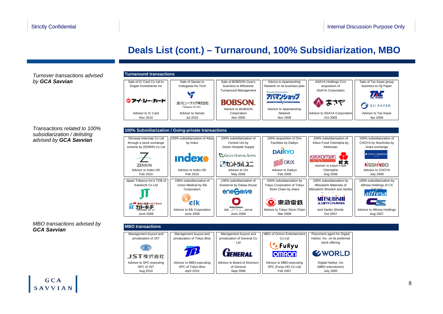### **Deals List (cont.) – Turnaround, 100% Subsidiarization, MBO**

*Turnover transactions advised by GCA Savvian*

*Transactions related to 100% subsidiarization / delisting advised by GCA Savvian*

*MBO transactions advised by GCA Savvian*

| <b>Turnaround transactions</b>                                                 |                                                                        |                                                                                |                                                                                        |                                                                                                                           |                                                                          |
|--------------------------------------------------------------------------------|------------------------------------------------------------------------|--------------------------------------------------------------------------------|----------------------------------------------------------------------------------------|---------------------------------------------------------------------------------------------------------------------------|--------------------------------------------------------------------------|
| Sale of IC Card Co Ltd to<br>Dogan Investments Inc.                            | Sale of Sansei to<br>Yodogawa Hu-Tech                                  | Sale of BOBSON Corp's<br>business to Milestone<br><b>Turnaround Management</b> | Advice to Apamanshop<br>Network on its business plan                                   | <b>ASAYA Holdings Co's</b><br>acquisition of<br><b>ASAYA Corporation</b>                                                  | Sale of Tac Kasei group<br>business to Oji Paper                         |
| ®アイ・シー・カード                                                                     | 淀川ヒューテック株式会社<br>Yodogawa Hu-Tech                                       | <b>BOBSON.</b><br>Advisor to BOBSON                                            | Advisor to Apamanshop                                                                  |                                                                                                                           | PAPER                                                                    |
| Advisor to IC Card<br>Nov 2010                                                 | Advisor to Sansei<br>Jul 2010                                          | Corporation<br>Nov 2009                                                        | Network<br>Nov 2009                                                                    | Advisor to ASAYA Corporation<br>Oct 2009                                                                                  | Advisor to Tac Kasei<br>Apr 2009                                         |
|                                                                                | 100% Subsidiarization / Going-private transactions                     |                                                                                |                                                                                        |                                                                                                                           |                                                                          |
| Okinawa Intermap Co Ltd<br>through a stock exchange<br>scheme by ZENRIN Co Ltd | 100% subsidiarization of Atlas<br>by Index                             | 100% subsidiarization of<br>Central Uni by<br>Green Hospital Supply            | 100% acquisition of Orix<br>Facilities by Daikyo                                       | 100% subsidiarization of<br>Kibun Food Chemipha by<br>Kikkoman                                                            | 100% subsidiarization of<br>CHOYA by Nisshinbo by<br>share exchange      |
| <b>ZENRIN</b>                                                                  | <b>Indexe</b>                                                          | <b>C. GREEN HOSPITAL SUPPLY</b><br>いせつトラルユニ                                    | <b>DAIKYO</b><br>ORIX                                                                  | <b>KIKKOMAI</b><br>紀文<br>Advisor to Kibun Food                                                                            | <b>W</b> CHOYA CORPORATION<br><b>NSSHNBO</b>                             |
| Advisor to Index HD<br>Feb 2010                                                | Advisor to Index HD<br>Feb 2010                                        | Advisor to Uni<br>May 2009                                                     | Advisor to Daikyo<br>Feb 2009                                                          | Chemipha<br>Aug 2008                                                                                                      | Advisor to CHOYA<br><b>July 2008</b>                                     |
| Japan Tobacco Inc's TOB of<br>Katokichi Co Ltd<br>素材と鮮度へのこだわり                  | 100% subsidiarization of<br>Union Medical by Elk<br>Corporation<br>elk | 100% subsidiarization of<br>Eneserve by Daiwa House<br>enegerve<br>Daiwa House | 100% subsidiarization by<br>Tokyu Corporation of Tokyu<br>Store Chain by share<br>東急電鉄 | 100% subsidiarization by<br>Mitsubishi Materials of<br>Mitsubishi Shindoh and Sanbol<br><b>MITSUBISHI</b><br>人三菱マテリアル株式会社 | 100% subsidiarization by<br>Alfresa Holdings of CS<br>Vakuhin<br>alfresa |
| 力ト非于<br>Advisor to Ji<br><b>June 2008</b>                                      | Advisor to Elk Corporation<br><b>June 2008</b>                         | $Ad1, \ldots, \ldots, \ldots$ serve<br><b>June 2008</b>                        | Advisor to Tokyo Store Chain<br>Mar 2008                                               | and Sanbo Shindo<br>Oct 2007                                                                                              | Advisor to Alfresa Holdings<br>Aug 2007                                  |
|                                                                                |                                                                        |                                                                                |                                                                                        |                                                                                                                           |                                                                          |
| <b>MBO</b> transactions                                                        |                                                                        |                                                                                |                                                                                        |                                                                                                                           |                                                                          |
| Management buyout and<br>privatization of JST                                  | Management buyout and<br>privatization of Tokyo Biso                   | Management buyout and<br>privatization of General Co<br>Ltd                    | <b>MBO of Omron Entertainment</b><br>Co Ltd<br>'. FuRyu                                | Placement agent for Digital<br>Harbor, Inc on its preferred<br>stock offering                                             |                                                                          |
| JST株式会社                                                                        |                                                                        | <b>LIENERAL</b>                                                                | <b>OMRON</b>                                                                           | <b>EWORLD</b>                                                                                                             |                                                                          |
| Advisor to SPC-executing<br>SPC of JST<br>Aug 2010                             | Advisor to MBO-executing<br>SPC of Tokyo Biso<br>April 2010            | Advisor to Board of Directors<br>of General<br>Sept 2008                       | Advisor to MBO-executing<br>SPC (Furyu HD Co Ltd)<br>Feb 2007                          | Digital Harbor, Inc<br>(MBO executioner)<br><b>July 2005</b>                                                              |                                                                          |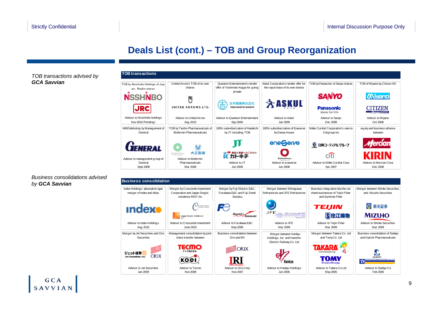### **Deals List (cont.) – TOB and Group Reorganization**

*TOB transactions advised by GCA Savvian*



*Business consolidations advised by GCA Savvian*

| <b>Business consolidation</b>                                                           |                                                                                       |                                                                        |                                                                               |                                                                                           |                                                                                   |
|-----------------------------------------------------------------------------------------|---------------------------------------------------------------------------------------|------------------------------------------------------------------------|-------------------------------------------------------------------------------|-------------------------------------------------------------------------------------------|-----------------------------------------------------------------------------------|
| Index Holdings' absorption-type<br>merger of Index and Atlas                            | Merger by Crescendo Investment<br>Corporation and Japan Single-<br>residence REIT Inc | Merger by Fuji Electric E&C,<br>Furukawa E&C and Fuji Denki<br>Sosetsu | Merger between Shinagawa<br>Refractories and JFE Refractories                 | Business integration btw the car<br>sheet businesses of Teijin Fiber<br>and Suminoe Fiber | Merger between Shinko Securities<br>and Mizuho Securities                         |
| <b>Indexo</b>                                                                           | $U_{\text{CRESCENDO}}$<br>Japan Single-residence                                      | FC.<br><b>Bound to</b><br><i>Innovate</i>                              | JFE                                                                           | TEIJIN<br><b>S住江織物</b>                                                                    | 米 新光証券<br><b>MIZUHO</b>                                                           |
| Advisor to Index Holdings<br>Aug 2010                                                   | Advisor to Crescendo Investment<br>June 2010                                          | Advisor to Furukawa E&C<br>May 2009                                    | Advisor to JFE<br>Mar 2009                                                    | Advisor to Teijin Fiber<br>Mar 2009                                                       | Advisor to Shinko Securities<br>Mar 2009                                          |
| Merger by Jet Securities and Orix<br>Securities                                         | Management consolidation by joint<br>share transfer between                           | Business consolidation between<br>Orix and IRI                         | Merger between Hankyu<br>Holdings, Inc and Hanshin<br>Electric Railway Co Ltd | Merger between Takara Co Ltd<br>and Tomy Co Ltd                                           | Business consolidation of Sankyo<br>and Daiichi Pharmaceuticals                   |
| <b>STEARTH AND READ PROPERTY</b><br>ジェット証券<br><b>ORIX</b><br><b>Jet Securities Inc.</b> | TECMO<br>коеі                                                                         | RI                                                                     | Hankvu                                                                        | www.takaratovs.co.<br>Dream Concrey                                                       | <b>SANKYO</b><br><b>ANCHI PHARMACEUTICAL CO.LTD</b><br>$\boldsymbol{\mathcal{D}}$ |
| Advisor to Jet Securities<br>Jan 2009                                                   | Advisor to Tecmo<br>Nov 2008                                                          | Advisor to Orix Corp<br>Nov 2007                                       | Advisor to Hankyu Holdings<br>Jun 2006                                        | Advisor to Takara Co Ltd<br>May 2005                                                      | Advisor to Sankyo Co<br>Feb 2005                                                  |

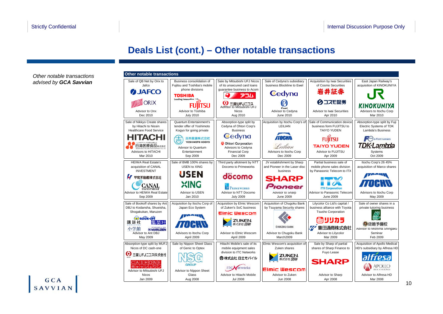### **Deals List (cont.) – Other notable transactions**

*Other notable transactions advised by GCA Savvian*

| <b>Other notable transactions</b>                                                      |                                                                                                                          |                                                                                                  |                                                                     |                                                                                            |                                                                               |
|----------------------------------------------------------------------------------------|--------------------------------------------------------------------------------------------------------------------------|--------------------------------------------------------------------------------------------------|---------------------------------------------------------------------|--------------------------------------------------------------------------------------------|-------------------------------------------------------------------------------|
| Sale of QB Net by Orix to<br>Jafco<br><b>DUAFCO</b>                                    | Business consolidation of<br>Fujitsu and Toshiba's mobile<br>phone divisions<br><b>TOSHIBA</b><br>Leading Innovation >>> | Sale by Mitsubishi UFJ Nicos<br>of its unsecured card loans<br>quarantee business to Acom<br>アコム | Sale of Cedyna's subsidiary<br>business Blockline to Ewel<br>Cedyna | Acquisition by Iwai Securities<br>of Cosmo Securities<br>岩井証券                              | East Japan Railway's<br>acquisition of KINOKUNIYA                             |
| <b>DRIX</b><br><b>Advisor to Orix</b>                                                  | ITSU<br>Advisor to Toshiba                                                                                               | О<br><b>● 三菱UFJニコス</b><br>Advisor to Mitsubishi UFJ<br><b>Nicos</b>                              | Ewel<br>Advisor to Cedyna                                           | Ø コスモ証券<br><b>Advisor to Iwai Securities</b>                                               | KINOKUNIYA<br>Advisors to Itochu Corp                                         |
| Dec 2010                                                                               | <b>July 2010</b>                                                                                                         | Aug 2010                                                                                         | June 2010                                                           | Apr 2010                                                                                   | Mar 2010                                                                      |
| Sale of Nikkyo Create shares<br>by Hitachi to Nissin<br><b>Healthcare Food Service</b> | Quantum Entertainment's<br>tender offer of Yoshimoto<br>Kogyo for going private                                          | Absorption-type split by<br>Cedyna of Ohtori Corp's<br><b>Business</b>                           | Acquisition by Itochu Corp's of<br>LEILIAN                          | Sale of Communication device<br>business form FUJITSU to<br><b>TAIYO YUDEN</b>             | Absorption-type split by Fuji<br>Electric Systems of TDK<br>Lambda's Business |
| Δ<br>`HI.                                                                              | 吉本興業株式会社                                                                                                                 | Cedyna                                                                                           |                                                                     |                                                                                            | e-Front runners                                                               |
| 日清医療食品株式会社                                                                             | YOSHIMOTO KOGYO                                                                                                          | <b>Conference Only Only Only Only 10</b>                                                         | Leilian                                                             | <b>TAIYO YUDEN</b>                                                                         | TDK·Lambda                                                                    |
| Advisors to HITACHI                                                                    | Advisor to Quantum<br>Entertainment                                                                                      | Advisors to Cedyna<br><b>Financial Corp</b>                                                      | Advisors to Itochu Corp                                             | Advisor to FUJITSU                                                                         | Systems                                                                       |
| Mar 2010                                                                               | Sep 2009                                                                                                                 | Dec 2009                                                                                         | Dec 2009                                                            | Apr 2009                                                                                   | Oct 2009                                                                      |
| <b>HEIWA Real Estate's</b><br>acquisition of CANAL                                     | Sale of BMB 100% shares by<br><b>USEN to XING</b>                                                                        | Third party allotment by NTT<br>Docomo to Primeworks                                             | JV establishment by Sharp<br>and Pioneer in the Laser disc          | Partial business sale of<br>mobile phone sales division                                    | Itochu Corp's 26 45%<br>acquisition of Marco shares                           |
| <b>INVESTMENT</b><br>平和不動産株式会社                                                         | <b>USEN</b>                                                                                                              | döcomo                                                                                           | business<br>SHARP                                                   | by Panasonic Telecom to ITX                                                                |                                                                               |
| ANAL<br><b>INVESTMENT</b>                                                              | XING                                                                                                                     | <b>PRIMEWORKS</b>                                                                                | Pioneer                                                             | <b>ITX Corporation</b>                                                                     | 77HR.                                                                         |
| Advisor to HEIWA Real Estate<br>Sep 2009                                               | Advisor to USEN<br>Jan 2010                                                                                              | Advisor to NTT Docomo<br><b>July 2009</b>                                                        | Advisor to Sharp<br>June 2009                                       | Advisor to Panasonic Telecom<br>June 2009                                                  | Advisors to Itochu Corp<br>May 2009                                           |
| Sale of Bookoff shares by Ant<br>DBJ to Kodansha, Shueisha,<br>Shogakukan, Maruzen     | Acquisition by Itochu Corp of<br>Japan Eco System                                                                        | Acquisition by Elmic Wescom<br>of Zuken's SoC business<br><b>Elmic Wescom</b>                    | Acquisition of Chugoku Bank<br>by Tsuyama Security shares           | Lilycolor Co Ltd's capital /<br>business alliance with Toyota<br><b>Tsusho Corporation</b> | Sale of owner shares in a<br>private tutoring business                        |
| BOOK OFF<br>講談社<br>隼英社<br><b>MMARUZEN</b><br>小学館                                       | 77 A BR                                                                                                                  | ZUKEN.                                                                                           | <b>CHUGOKU BANK</b>                                                 | ΠİΠ<br>פתעע<br>豊田通商株式会社                                                                    | (4)佐鳴予備校<br>Advisor to Mishima Shingaku                                       |
| Advisor to Ant DBJ<br>May 2009                                                         | Advisors to Itochu Corp<br>April 2009                                                                                    | Advisor to Elmic Wescom<br>April 2009                                                            | Advisor to Chugoku Bank<br>March2009                                | Advisor to Lilycolor<br>Mar 2009                                                           | Seminar<br>Feb 2009                                                           |
| Absorption-type split by MUFJ<br>Nicos of DC cash-one                                  | Sale by Nippon Sheet Glass<br>of Genic to Optex                                                                          | Hitachi Mobile's sale of its<br>mobile equipment sales                                           | Elmic Wescom's acquisition of<br>Zuken shares                       | Sale by Sharp of partial<br>shares of Sharp Finance to                                     | Acquisition of Apollo Medical<br>HD's subsidiary by Alfresa HD                |
| (2) 三菱UFJニコス株式会社<br>ッシュワン<br>Advisor to Mitsubishi UFJ                                 | <b>GROUP</b>                                                                                                             | division to ITC Networks<br>@ 株式会社 日立モバイル<br>etworks                                             | ZUKEN.<br>Elmic Wescom                                              | Fuyo Lease<br><b>SHARP</b>                                                                 |                                                                               |
| <b>Nicos</b>                                                                           | Advisor to Nippon Sheet<br>Glass                                                                                         | Advisor to Hitachi Mobile                                                                        | Advisor to Zuken                                                    | Advisor to Sharp                                                                           | Advisor to Alfresa HD                                                         |
| Jan 2009                                                                               | Aug 2008                                                                                                                 | <b>Jul 2008</b>                                                                                  | <b>Jun 2008</b>                                                     | Apr 2008                                                                                   | Mar 2008                                                                      |

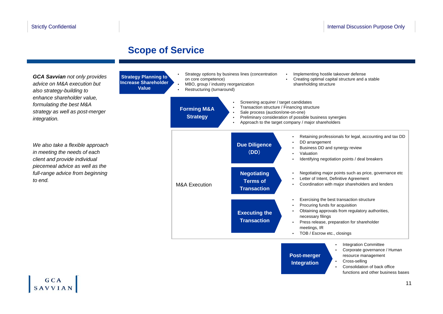### **Scope of Service**

**Value**

*GCA Savvian not only provides advice on M&A execution but also strategy-building to enhance shareholder value, formulating the best M&A strategy as well as post-merger integration.*

*We also take a flexible approach in meeting the needs of each client and provide individual piecemeal advice as well as the full-range advice from beginning to end.*

GCA SAVVIAN



•Cross-selling

•

 Consolidation of back office functions and other business bases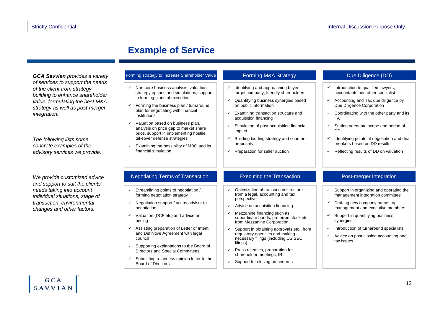### **Example of Service**

*of services to support the needs of the client from strategybuilding to enhance shareholder value, formulating the best M&A strategy as well as post-merger integration.*

*The following lists some concrete examples of the advisory services we provide.*

*We provide customized advice and support to suit the clients' needs taking into account individual situations, stage of transaction, environmental changes and other factors.*

#### **GCA Savvian** *provides a variety* Forming strategy to Increase Shareholder Value

- $\checkmark$  Non-core business analysis, valuation, strategy options and simulations, support in forming plans of execution
- $\checkmark$  Forming the business plan / turnaround plan for negotiating with financial **institutions**
- $\checkmark$  Valuation based on business plan, analysis on price gap to market share price, support in implementing hostile takeover defense strategies
- $\checkmark$  Examining the possibility of MBO and its financial simulation

#### Forming M&A Strategy

- $\checkmark$  Identifying and approaching buyer, target company, friendly shareholders
- $\checkmark$  Quantifying business synergies based on public information
- $\checkmark$  Examining transaction structure and acquisition financing
- $\checkmark$  Simulation of post-acquisition financial impact
- $\checkmark$  Building bidding strategy and counterproposals
- $\checkmark$  Preparation for seller auction

#### Due Diligence (DD)

- $\checkmark$  Introduction to qualified lawyers, accountants and other specialist
- $\checkmark$  Accounting and Tax due diligence by Due Diligence Corporation
- $\checkmark$  Coordinating with the other party and its FA
- $\checkmark$  Setting adequate scope and period of DD
- $\checkmark$  Identifying points of negotiation and deal breakers based on DD results
- $\checkmark$ Reflecting results of DD on valuation

#### Negotiating Terms of Transaction **Property** Executing the Transaction Post-merger Integration

- $\checkmark$  Streamlining points of negotiation / forming negotiation strategy
- $\checkmark$  Negotiation support / act as advisor to negotiation
- $\checkmark$  Valuation (DCF etc) and advice on pricing
- $\checkmark$  Assisting preparation of Letter of Intent and Definitive Agreement with legal council
- $\checkmark$  Supporting explanations to the Board of Directors and Special Committees
- $\checkmark$  Submitting a fairness opinion letter to the Board of Directors

#### Executing the Transaction

- $\checkmark$  Optimization of transaction structure from a legal, accounting and tax perspective
- $\checkmark$  Advice on acquisition financing
- $\checkmark$  Mezzanine financing such as subordinate bonds, preferred stock etc., from Mezzanine Corporation
- $\checkmark$  Support in obtaining approvals etc., from regulatory agencies and making necessary filings (including US SEC filings)
- $\checkmark$  Press releases, preparation for shareholder meetings, IR
- $\checkmark$  Support for closing procedures

- $\checkmark$  Support in organizing and operating the management integration committee
- $\checkmark$  Drafting new company name, top management and executive members
- $\checkmark$  Support in quantifying business synergies
- $\checkmark$  Introduction of turnaround specialists
- $\checkmark$  Advice on post closing accounting and tax issues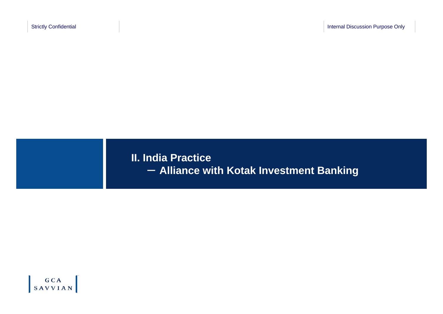**II. India Practice** - **Alliance with Kotak Investment Banking**

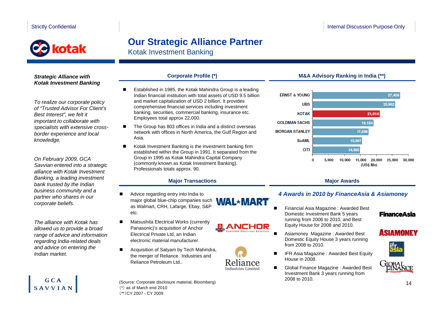# kotak

## **Our Strategic Alliance Partner**

Kotak Investment Banking

#### *Strategic Alliance with Kotak Investment Banking*

*To realize our corporate policy of "Trusted Advisor For Client's Best Interest", we felt it important to collaborate with specialists with extensive crossborder experience and local knowledge.*

*On February 2009, GCA Savvian entered into a strategic alliance with Kotak Investment Banking, a leading investment bank trusted by the Indian business community and a partner who shares in our corporate beliefs.*

*The alliance with Kotak has allowed us to provide a broad range of advice and information regarding India-related deals and advice on entering the Indian market.*

### $GCA$ **SAVVIAN**

- Established in 1985, the Kotak Mahindra Group is a leading Indian financial institution with total assets of USD 9.5 billion and market capitalization of USD 2 billion. It provides comprehensive financial services including investment banking, securities, commercial banking, insurance etc. Employees total approx 22,000.
- The Group has 803 offices in India and a distinct overseas network with offices in North America, the Gulf Region and Asia.
- $\blacksquare$  Kotak Investment Banking is the investment banking firm established within the Group in 1991. It separated from the Group in 1995 as Kotak Mahindra Capital Company (commonly known as Kotak Investment Banking). Professionals totals approx. 90.

#### **Major Transactions**

- Advice regarding entry into India to ■ major global blue-chip companies such **WAL\*MART** as Walmart, CRH, Lafarge, Ebay, S&P etc.
- Matsushita Electrical Works (currently Panasonic)'s acquisition of Anchor Electrical Private Ltd, an Indian electronic material manufacturer.
- . Acquisition of Satyam by Tech Mahindra, the merger of Reliance Industries and Reliance Petroleum Ltd..
- (Source: Corporate disclosure material, Bloomberg) (\*) as of March end 2010 (\*\*)CY 2007 - CY 2009

#### **Corporate Profile (\*) M&A Advisory Ranking in India (\*\*)**



#### **Major Awards**

#### *4 Awards in 2010 by FinanceAsia & Asiamoney*

 Financial Asia Magazine : Awarded Best Domestic Investment Bank 5 years running from 2006 to 2010, and Best Equity House for 2008 and 2010.

■

■

HOR

- Asiamoney Magazine : Awarded Best Domestic Equity House 3 years running from 2008 to 2010.
- $\blacksquare$  IFR Asia Magazine : Awarded Best Equity House in 2008.
- $\blacksquare$  Global Finance Magazine : Awarded Best Investment Bank 3 years running from 2008 to 2010.

### **FinanceAsia**





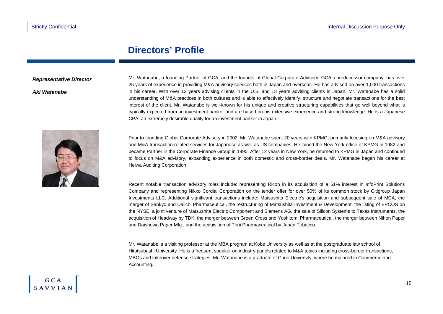### **Directors' Profile**

#### *Representative Director*

*Aki Watanabe*

Mr. Watanabe, a founding Partner of GCA, and the founder of Global Corporate Advisory, GCA's predecessor company, has over 25 years of experience in providing M&A advisory services both in Japan and overseas. He has advised on over 1,000 transactions in his career. With over 12 years advising clients in the U.S. and 13 years advising clients in Japan, Mr. Watanabe has a solid understanding of M&A practices in both cultures and is able to effectively identify, structure and negotiate transactions for the best interest of the client. Mr. Watanabe is well-known for his unique and creative structuring capabilities that go well beyond what is typically expected from an investment banker and are based on his extensive experience and strong knowledge. He is a Japanese CPA, an extremely desirable quality for an investment banker in Japan.



Prior to founding Global Corporate Advisory in 2002, Mr. Watanabe spent 20 years with KPMG, primarily focusing on M&A advisory and M&A transaction related services for Japanese as well as US companies. He joined the New York office of KPMG in 1982 and became Partner in the Corporate Finance Group in 1990. After 12 years in New York, he returned to KPMG in Japan and continued to focus on M&A advisory, expanding experience in both domestic and cross-border deals. Mr. Watanabe began his career at Heiwa Auditing Corporation.

Recent notable transaction advisory roles include: representing Ricoh in its acquisition of a 51% interest in InfoPrint Solutions Company and representing Nikko Cordial Corporation on the tender offer for over 50% of its common stock by Citigroup Japan Investments LLC. Additional significant transactions include: Matsushita Electric's acquisition and subsequent sale of MCA, the merger of Sankyo and Daiichi Pharmaceutical, the restructuring of Matsushita Investment & Development, the listing of EPCOS on the NYSE, a joint venture of Matsushita Electric Component and Siemens AG, the sale of Silicon Systems to Texas Instruments, the acquisition of Headway by TDK, the merger between Green Cross and Yoshitomi Pharmaceutical, the merger between Nihon Paper and Daishowa Paper Mfg., and the acquisition of Torii Pharmaceutical by Japan Tobacco.

Mr. Watanabe is a visiting professor at the MBA program at Kobe University as well as at the postgraduate law school of Hitotsubashi University. He is a frequent speaker on industry panels related to M&A topics including cross-border transactions, MBOs and takeover defense strategies. Mr. Watanabe is a graduate of Chuo University, where he majored in Commerce and Accounting.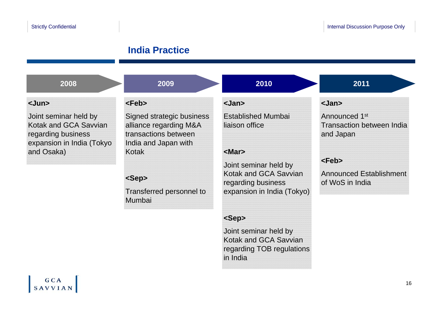### **India Practice**

| 2008                                                                                                     | 2009                                                                                                | 2010                                        | 2011                                                                       |
|----------------------------------------------------------------------------------------------------------|-----------------------------------------------------------------------------------------------------|---------------------------------------------|----------------------------------------------------------------------------|
| $\langle$ Jun $\rangle$                                                                                  | $feb>$                                                                                              | <jan></jan>                                 | <jan></jan>                                                                |
| Joint seminar held by<br><b>Kotak and GCA Savvian</b><br>regarding business<br>expansion in India (Tokyo | Signed strategic business<br>alliance regarding M&A<br>transactions between<br>India and Japan with | <b>Established Mumbai</b><br>liaison office | Announced 1 <sup>st</sup><br><b>Transaction between India</b><br>and Japan |
| and Osaka)                                                                                               | Kotak                                                                                               | $<$ Mar $>$<br>Joint seminar held by        | $feb>$                                                                     |
|                                                                                                          | <sep></sep>                                                                                         | Kotak and GCA Savvian<br>regarding business | <b>Announced Establishment</b><br>of WoS in India                          |
|                                                                                                          | Transferred personnel to<br><b>Mumbai</b>                                                           | expansion in India (Tokyo)                  |                                                                            |
|                                                                                                          |                                                                                                     | <sep></sep>                                 |                                                                            |
|                                                                                                          |                                                                                                     | Joint seminar held by                       |                                                                            |

Kotak and GCA Savvian regarding TOB regulations

in India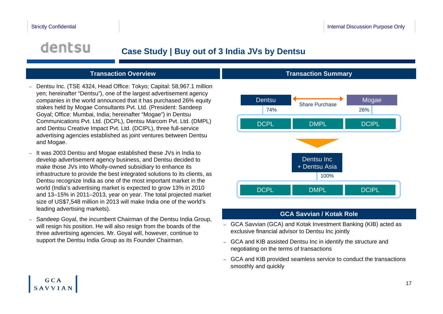$GCA$ **SAVVIAN** 

## dentsu

### **Case Study | Buy out of 3 India JVs by Dentsu**

#### **Transaction Overview**

- – Dentsu Inc. (TSE 4324, Head Office: Tokyo; Capital: 58,967.1 million yen; hereinafter "Dentsu"), one of the largest advertisement agency companies in the world announced that it has purchased 26% equity stakes held by Mogae Consultants Pvt. Ltd. (President: Sandeep Goyal; Office: Mumbai, India; hereinafter "Mogae") in Dentsu Communications Pvt. Ltd. (DCPL), Dentsu Marcom Pvt. Ltd. (DMPL) and Dentsu Creative Impact Pvt. Ltd. (DCIPL), three full-service advertising agencies established as joint ventures between Dentsu and Mogae.
- – It was 2003 Dentsu and Mogae established these JVs in India to develop advertisement agency business, and Dentsu decided to make those JVs into Wholly-owned subsidiary to enhance its infrastructure to provide the best integrated solutions to its clients, as Dentsu recognize India as one of the most important market in the world (India's advertising market is expected to grow 13% in 2010 and 13–15% in 2011–2013, year on year. The total projected market size of US\$7,548 million in 2013 will make India one of the world's leading advertising markets).
- Sandeep Goyal, the incumbent Chairman of the Dentsu India Group, will resign his position. He will also resign from the boards of the three advertising agencies. Mr. Goyal will, however, continue to support the Dentsu India Group as its Founder Chairman.

#### **Transaction Summary**



#### **GCA Savvian / Kotak Role**

- GCA Savvian (GCA) and Kotak Investment Banking (KIB) acted as exclusive financial advisor to Dentsu Inc jointly
- GCA and KIB assisted Dentsu Inc in identify the structure and negotiating on the terms of transactions
- GCA and KIB provided seamless service to conduct the transactions smoothly and quickly

17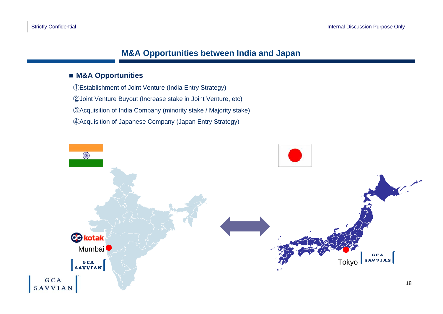### **M&A Opportunities between India and Japan**

#### **M&A Opportunities**

Establishment of Joint Venture (India Entry Strategy) Joint Venture Buyout (Increase stake in Joint Venture, etc) Acquisition of India Company (minority stake / Majority stake) Acquisition of Japanese Company (Japan Entry Strategy)